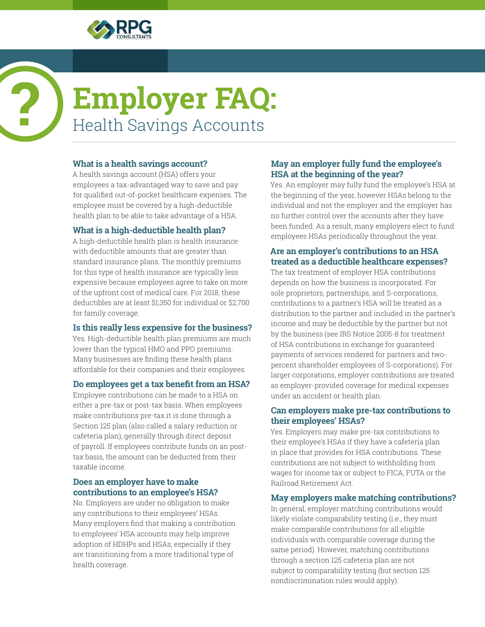

# **Employer FAQ:** Health Savings Accounts

# **What is a health savings account?**

A health savings account (HSA) offers your employees a tax-advantaged way to save and pay for qualified out-of-pocket healthcare expenses. The employee must be covered by a high-deductible health plan to be able to take advantage of a HSA.

# **What is a high-deductible health plan?**

A high-deductible health plan is health insurance with deductible amounts that are greater than standard insurance plans. The monthly premiums for this type of health insurance are typically less expensive because employees agree to take on more of the upfront cost of medical care. For 2018, these deductibles are at least \$1,350 for individual or \$2,700 for family coverage.

# **Is this really less expensive for the business?**

Yes. High-deductible health plan premiums are much lower than the typical HMO and PPO premiums. Many businesses are finding these health plans affordable for their companies and their employees.

#### **Do employees get a tax benefit from an HSA?**

Employee contributions can be made to a HSA on either a pre-tax or post-tax basis. When employees make contributions pre-tax it is done through a Section 125 plan (also called a salary reduction or cafeteria plan), generally through direct deposit of payroll. If employees contribute funds on an posttax basis, the amount can be deducted from their taxable income.

## **Does an employer have to make contributions to an employee's HSA?**

No. Employers are under no obligation to make any contributions to their employees' HSAs. Many employers find that making a contribution to employees' HSA accounts may help improve adoption of HDHPs and HSAs, especially if they are transitioning from a more traditional type of health coverage.

# **May an employer fully fund the employee's HSA at the beginning of the year?**

Yes. An employer may fully fund the employee's HSA at the beginning of the year, however HSAs belong to the individual and not the employer and the employer has no further control over the accounts after they have been funded. As a result, many employers elect to fund employees HSAs periodically throughout the year.

# **Are an employer's contributions to an HSA treated as a deductible healthcare expenses?**

The tax treatment of employer HSA contributions depends on how the business is incorporated. For sole proprietors, partnerships, and S-corporations, contributions to a partner's HSA will be treated as a distribution to the partner and included in the partner's income and may be deductible by the partner but not by the business (see IRS Notice 2005-8 for treatment of HSA contributions in exchange for guaranteed payments of services rendered for partners and twopercent shareholder employees of S-corporations). For larger corporations, employer contributions are treated as employer-provided coverage for medical expenses under an accident or health plan.

#### **Can employers make pre-tax contributions to their employees' HSAs?**

Yes. Employers may make pre-tax contributions to their employee's HSAs if they have a cafeteria plan in place that provides for HSA contributions. These contributions are not subject to withholding from wages for income tax or subject to FICA, FUTA or the Railroad Retirement Act.

# **May employers make matching contributions?**

In general, employer matching contributions would likely violate comparability testing (i.e., they must make comparable contributions for all eligible individuals with comparable coverage during the same period). However, matching contributions through a section 125 cafeteria plan are not subject to comparability testing (but section 125 nondiscrimination rules would apply).